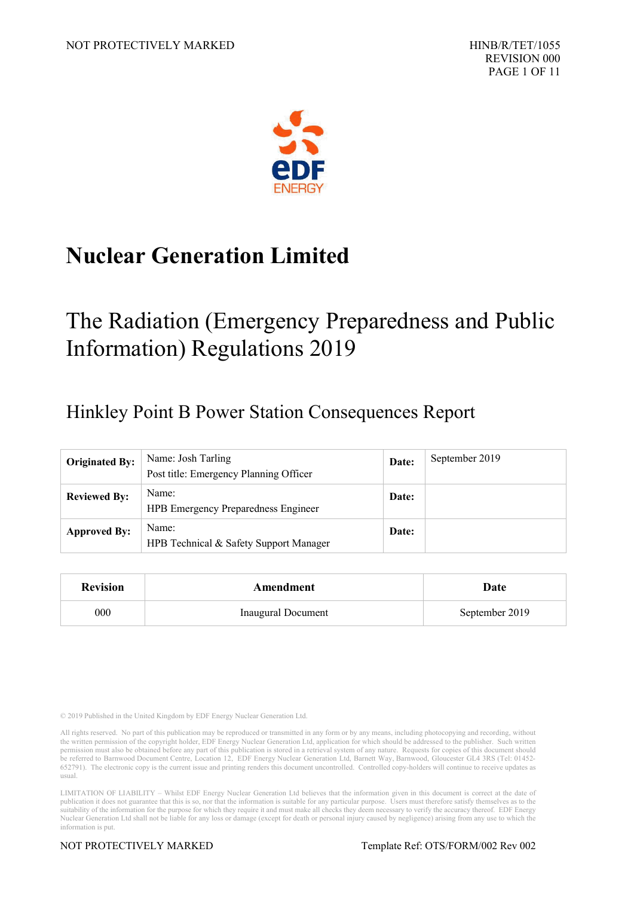

# **Nuclear Generation Limited**

# The Radiation (Emergency Preparedness and Public Information) Regulations 2019

## Hinkley Point B Power Station Consequences Report

| <b>Originated By:</b> | Name: Josh Tarling<br>Post title: Emergency Planning Officer | Date: | September 2019 |
|-----------------------|--------------------------------------------------------------|-------|----------------|
| <b>Reviewed By:</b>   | Name:<br><b>HPB</b> Emergency Preparedness Engineer          | Date: |                |
| <b>Approved By:</b>   | Name:<br>HPB Technical & Safety Support Manager              | Date: |                |

| <b>Revision</b> | Amendment                 | Date           |  |
|-----------------|---------------------------|----------------|--|
| 000             | <b>Inaugural Document</b> | September 2019 |  |

© 2019 Published in the United Kingdom by EDF Energy Nuclear Generation Ltd.

All rights reserved. No part of this publication may be reproduced or transmitted in any form or by any means, including photocopying and recording, without the written permission of the copyright holder, EDF Energy Nuclear Generation Ltd, application for which should be addressed to the publisher. Such written permission must also be obtained before any part of this publicati be referred to Barnwood Document Centre, Location 12, EDF Energy Nuclear Generation Ltd, Barnett Way, Barnwood, Gloucester GL4 3RS (Tel: 01452- 652791). The electronic copy is the current issue and printing renders this document uncontrolled. Controlled copy-holders will continue to receive updates as usual.

LIMITATION OF LIABILITY – Whilst EDF Energy Nuclear Generation Ltd believes that the information given in this document is correct at the date of publication it does not guarantee that this is so, nor that the information suitability of the information for the purpose for which they require it and must make all checks they deem necessary to verify the accuracy thereof. EDF Energy Nuclear Generation Ltd shall not be liable for any loss or damage (except for death or personal injury caused by negligence) arising from any use to which the information is put.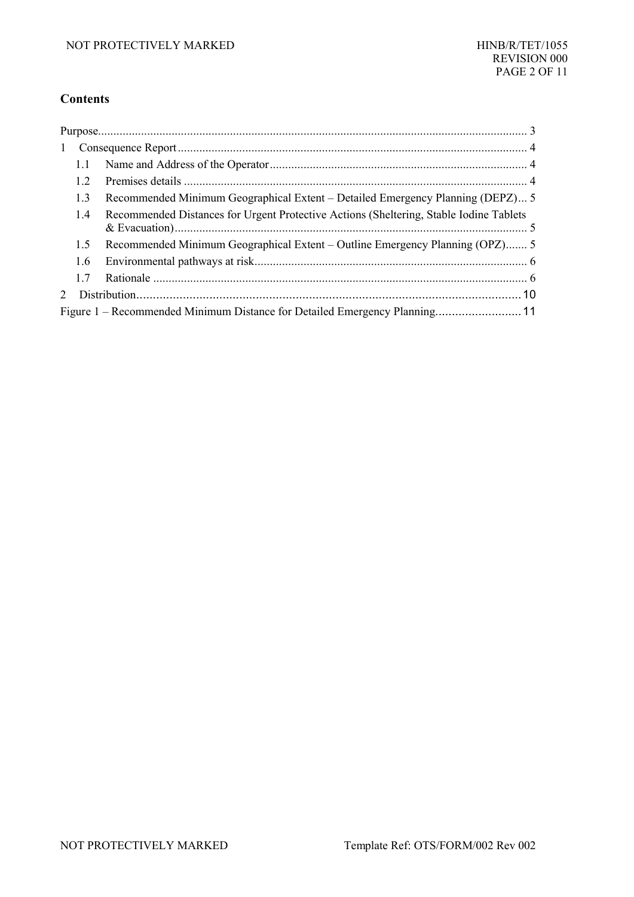#### **Contents**

| 1                    |     |                                                                                        |  |
|----------------------|-----|----------------------------------------------------------------------------------------|--|
|                      | 1.1 |                                                                                        |  |
|                      | 1.2 |                                                                                        |  |
|                      | 1.3 | Recommended Minimum Geographical Extent – Detailed Emergency Planning (DEPZ) 5         |  |
|                      | 1.4 | Recommended Distances for Urgent Protective Actions (Sheltering, Stable Iodine Tablets |  |
|                      | 1.5 | Recommended Minimum Geographical Extent – Outline Emergency Planning (OPZ)5            |  |
|                      | 1.6 |                                                                                        |  |
|                      | 17  |                                                                                        |  |
| $\sum_{i=1}^{n} a_i$ |     |                                                                                        |  |
|                      |     | Figure 1 – Recommended Minimum Distance for Detailed Emergency Planning 11             |  |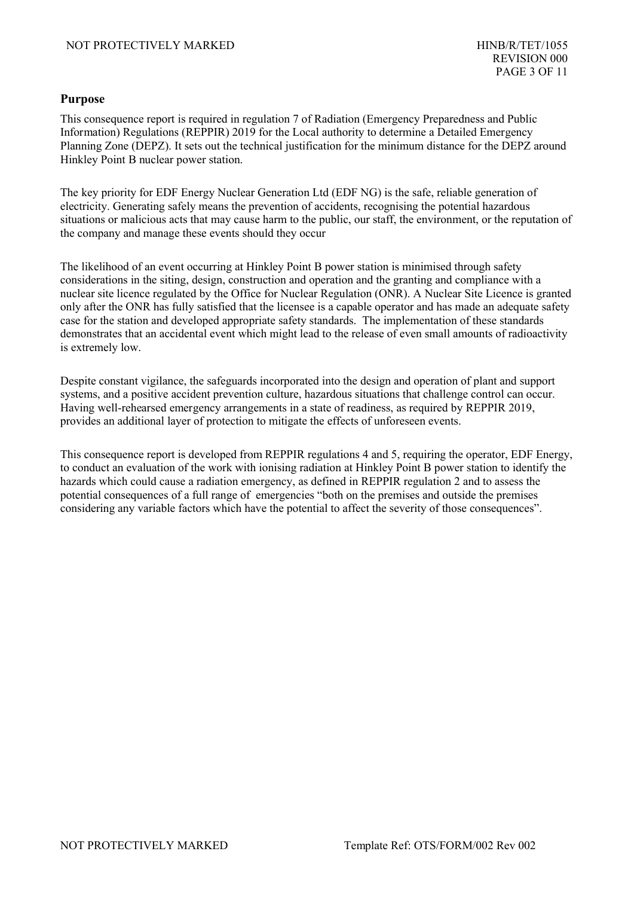#### <span id="page-2-0"></span>**Purpose**

This consequence report is required in regulation 7 of Radiation (Emergency Preparedness and Public Information) Regulations (REPPIR) 2019 for the Local authority to determine a Detailed Emergency Planning Zone (DEPZ). It sets out the technical justification for the minimum distance for the DEPZ around Hinkley Point B nuclear power station.

The key priority for EDF Energy Nuclear Generation Ltd (EDF NG) is the safe, reliable generation of electricity. Generating safely means the prevention of accidents, recognising the potential hazardous situations or malicious acts that may cause harm to the public, our staff, the environment, or the reputation of the company and manage these events should they occur

The likelihood of an event occurring at Hinkley Point B power station is minimised through safety considerations in the siting, design, construction and operation and the granting and compliance with a nuclear site licence regulated by the Office for Nuclear Regulation (ONR). A Nuclear Site Licence is granted only after the ONR has fully satisfied that the licensee is a capable operator and has made an adequate safety case for the station and developed appropriate safety standards. The implementation of these standards demonstrates that an accidental event which might lead to the release of even small amounts of radioactivity is extremely low.

Despite constant vigilance, the safeguards incorporated into the design and operation of plant and support systems, and a positive accident prevention culture, hazardous situations that challenge control can occur. Having well-rehearsed emergency arrangements in a state of readiness, as required by REPPIR 2019, provides an additional layer of protection to mitigate the effects of unforeseen events.

This consequence report is developed from REPPIR regulations 4 and 5, requiring the operator, EDF Energy, to conduct an evaluation of the work with ionising radiation at Hinkley Point B power station to identify the hazards which could cause a radiation emergency, as defined in REPPIR regulation 2 and to assess the potential consequences of a full range of emergencies "both on the premises and outside the premises considering any variable factors which have the potential to affect the severity of those consequences".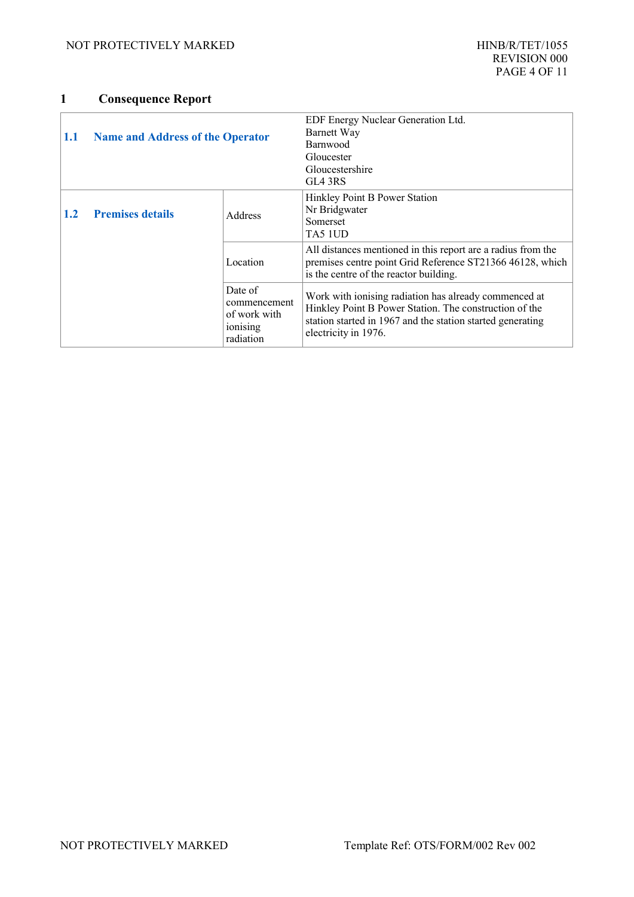### <span id="page-3-2"></span>**1 Consequence Report**

<span id="page-3-1"></span><span id="page-3-0"></span>

| 1.1 | <b>Name and Address of the Operator</b> |                                                                  | EDF Energy Nuclear Generation Ltd.<br>Barnett Way<br>Barnwood<br>Gloucester<br>Gloucestershire<br>GL4 3RS                                                                                             |
|-----|-----------------------------------------|------------------------------------------------------------------|-------------------------------------------------------------------------------------------------------------------------------------------------------------------------------------------------------|
| 1.2 | <b>Premises details</b>                 | Address                                                          | Hinkley Point B Power Station<br>Nr Bridgwater<br>Somerset<br>TA5 1UD                                                                                                                                 |
|     |                                         | Location                                                         | All distances mentioned in this report are a radius from the<br>premises centre point Grid Reference ST21366 46128, which<br>is the centre of the reactor building.                                   |
|     |                                         | Date of<br>commencement<br>of work with<br>ionising<br>radiation | Work with ionising radiation has already commenced at<br>Hinkley Point B Power Station. The construction of the<br>station started in 1967 and the station started generating<br>electricity in 1976. |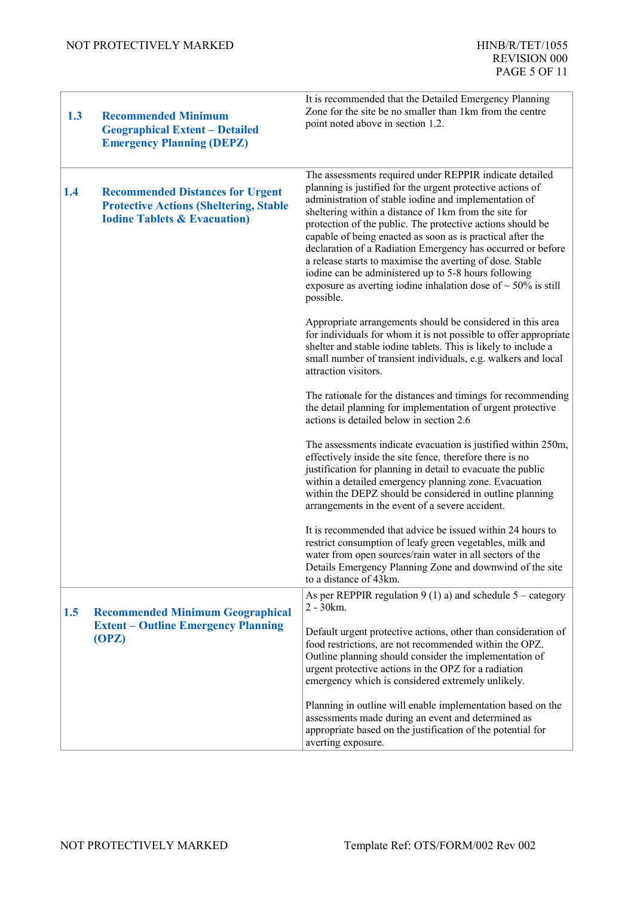<span id="page-4-2"></span><span id="page-4-1"></span><span id="page-4-0"></span>

| 1.3 | <b>Recommended Minimum</b><br><b>Geographical Extent - Detailed</b><br><b>Emergency Planning (DEPZ)</b>                              | It is recommended that the Detailed Emergency Planning<br>Zone for the site be no smaller than 1km from the centre<br>point noted above in section 1.2.                                                                                                                                                                                                                                                                                                                                                                                                                                                                                    |
|-----|--------------------------------------------------------------------------------------------------------------------------------------|--------------------------------------------------------------------------------------------------------------------------------------------------------------------------------------------------------------------------------------------------------------------------------------------------------------------------------------------------------------------------------------------------------------------------------------------------------------------------------------------------------------------------------------------------------------------------------------------------------------------------------------------|
| 1.4 | <b>Recommended Distances for Urgent</b><br><b>Protective Actions (Sheltering, Stable</b><br><b>Iodine Tablets &amp; Evacuation</b> ) | The assessments required under REPPIR indicate detailed<br>planning is justified for the urgent protective actions of<br>administration of stable iodine and implementation of<br>sheltering within a distance of 1km from the site for<br>protection of the public. The protective actions should be<br>capable of being enacted as soon as is practical after the<br>declaration of a Radiation Emergency has occurred or before<br>a release starts to maximise the averting of dose. Stable<br>iodine can be administered up to 5-8 hours following<br>exposure as averting iodine inhalation dose of $\sim$ 50% is still<br>possible. |
|     |                                                                                                                                      | Appropriate arrangements should be considered in this area<br>for individuals for whom it is not possible to offer appropriate<br>shelter and stable iodine tablets. This is likely to include a<br>small number of transient individuals, e.g. walkers and local<br>attraction visitors.                                                                                                                                                                                                                                                                                                                                                  |
|     |                                                                                                                                      | The rationale for the distances and timings for recommending<br>the detail planning for implementation of urgent protective<br>actions is detailed below in section 2.6                                                                                                                                                                                                                                                                                                                                                                                                                                                                    |
|     |                                                                                                                                      | The assessments indicate evacuation is justified within 250m,<br>effectively inside the site fence, therefore there is no<br>justification for planning in detail to evacuate the public<br>within a detailed emergency planning zone. Evacuation<br>within the DEPZ should be considered in outline planning<br>arrangements in the event of a severe accident.                                                                                                                                                                                                                                                                           |
|     |                                                                                                                                      | It is recommended that advice be issued within 24 hours to<br>restrict consumption of leafy green vegetables, milk and<br>water from open sources/rain water in all sectors of the<br>Details Emergency Planning Zone and downwind of the site<br>to a distance of 43km.                                                                                                                                                                                                                                                                                                                                                                   |
| 1.5 | <b>Recommended Minimum Geographical</b>                                                                                              | As per REPPIR regulation 9 (1) a) and schedule $5 -$ category<br>$2 - 30km$ .                                                                                                                                                                                                                                                                                                                                                                                                                                                                                                                                                              |
|     | <b>Extent – Outline Emergency Planning</b><br>(OPZ)                                                                                  | Default urgent protective actions, other than consideration of<br>food restrictions, are not recommended within the OPZ.<br>Outline planning should consider the implementation of<br>urgent protective actions in the OPZ for a radiation<br>emergency which is considered extremely unlikely.                                                                                                                                                                                                                                                                                                                                            |
|     |                                                                                                                                      | Planning in outline will enable implementation based on the<br>assessments made during an event and determined as<br>appropriate based on the justification of the potential for<br>averting exposure.                                                                                                                                                                                                                                                                                                                                                                                                                                     |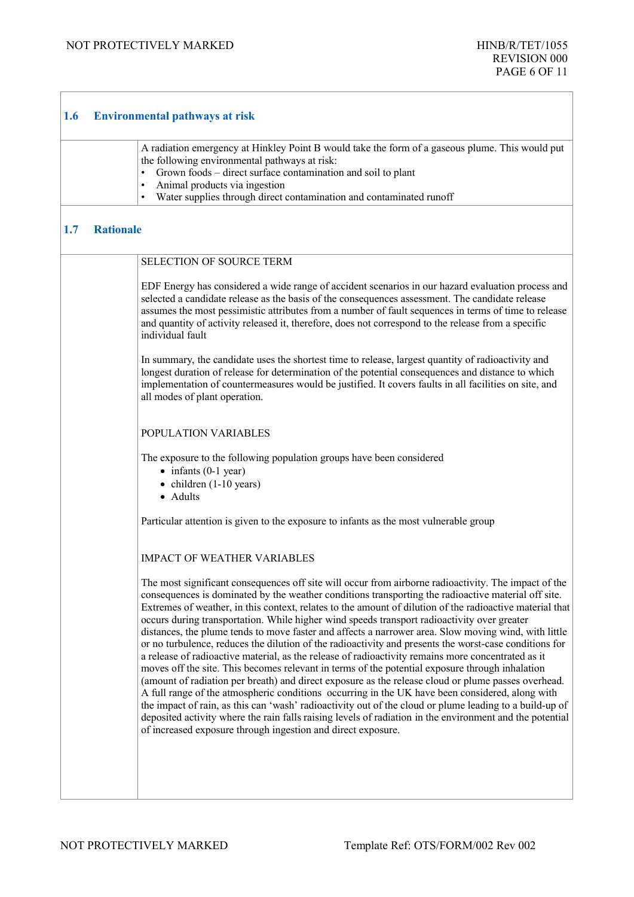<span id="page-5-1"></span> $\sqrt{ }$ 

٦

<span id="page-5-0"></span>

| <b>Environmental pathways at risk</b><br>1.6 |                  |                                                                                                                                                                                                                                                                                                                                                                                                                                                                                                                                                                                                                                                                                                                                                                                                                                                                                                                                                                                                                                                                                                                                                                                                                                                                                                                                                    |  |
|----------------------------------------------|------------------|----------------------------------------------------------------------------------------------------------------------------------------------------------------------------------------------------------------------------------------------------------------------------------------------------------------------------------------------------------------------------------------------------------------------------------------------------------------------------------------------------------------------------------------------------------------------------------------------------------------------------------------------------------------------------------------------------------------------------------------------------------------------------------------------------------------------------------------------------------------------------------------------------------------------------------------------------------------------------------------------------------------------------------------------------------------------------------------------------------------------------------------------------------------------------------------------------------------------------------------------------------------------------------------------------------------------------------------------------|--|
|                                              |                  | A radiation emergency at Hinkley Point B would take the form of a gaseous plume. This would put<br>the following environmental pathways at risk:<br>Grown foods - direct surface contamination and soil to plant<br>Animal products via ingestion<br>Water supplies through direct contamination and contaminated runoff                                                                                                                                                                                                                                                                                                                                                                                                                                                                                                                                                                                                                                                                                                                                                                                                                                                                                                                                                                                                                           |  |
| 1.7                                          | <b>Rationale</b> |                                                                                                                                                                                                                                                                                                                                                                                                                                                                                                                                                                                                                                                                                                                                                                                                                                                                                                                                                                                                                                                                                                                                                                                                                                                                                                                                                    |  |
|                                              |                  | <b>SELECTION OF SOURCE TERM</b>                                                                                                                                                                                                                                                                                                                                                                                                                                                                                                                                                                                                                                                                                                                                                                                                                                                                                                                                                                                                                                                                                                                                                                                                                                                                                                                    |  |
|                                              |                  | EDF Energy has considered a wide range of accident scenarios in our hazard evaluation process and<br>selected a candidate release as the basis of the consequences assessment. The candidate release<br>assumes the most pessimistic attributes from a number of fault sequences in terms of time to release<br>and quantity of activity released it, therefore, does not correspond to the release from a specific<br>individual fault                                                                                                                                                                                                                                                                                                                                                                                                                                                                                                                                                                                                                                                                                                                                                                                                                                                                                                            |  |
|                                              |                  | In summary, the candidate uses the shortest time to release, largest quantity of radioactivity and<br>longest duration of release for determination of the potential consequences and distance to which<br>implementation of countermeasures would be justified. It covers faults in all facilities on site, and<br>all modes of plant operation.                                                                                                                                                                                                                                                                                                                                                                                                                                                                                                                                                                                                                                                                                                                                                                                                                                                                                                                                                                                                  |  |
|                                              |                  | POPULATION VARIABLES                                                                                                                                                                                                                                                                                                                                                                                                                                                                                                                                                                                                                                                                                                                                                                                                                                                                                                                                                                                                                                                                                                                                                                                                                                                                                                                               |  |
|                                              |                  | The exposure to the following population groups have been considered<br>$\bullet$ infants (0-1 year)<br>$\bullet$ children (1-10 years)<br>• Adults                                                                                                                                                                                                                                                                                                                                                                                                                                                                                                                                                                                                                                                                                                                                                                                                                                                                                                                                                                                                                                                                                                                                                                                                |  |
|                                              |                  | Particular attention is given to the exposure to infants as the most vulnerable group                                                                                                                                                                                                                                                                                                                                                                                                                                                                                                                                                                                                                                                                                                                                                                                                                                                                                                                                                                                                                                                                                                                                                                                                                                                              |  |
|                                              |                  | <b>IMPACT OF WEATHER VARIABLES</b>                                                                                                                                                                                                                                                                                                                                                                                                                                                                                                                                                                                                                                                                                                                                                                                                                                                                                                                                                                                                                                                                                                                                                                                                                                                                                                                 |  |
|                                              |                  | The most significant consequences off site will occur from airborne radioactivity. The impact of the<br>consequences is dominated by the weather conditions transporting the radioactive material off site.<br>Extremes of weather, in this context, relates to the amount of dilution of the radioactive material that<br>occurs during transportation. While higher wind speeds transport radioactivity over greater<br>distances, the plume tends to move faster and affects a narrower area. Slow moving wind, with little<br>or no turbulence, reduces the dilution of the radioactivity and presents the worst-case conditions for<br>a release of radioactive material, as the release of radioactivity remains more concentrated as it<br>moves off the site. This becomes relevant in terms of the potential exposure through inhalation<br>(amount of radiation per breath) and direct exposure as the release cloud or plume passes overhead.<br>A full range of the atmospheric conditions occurring in the UK have been considered, along with<br>the impact of rain, as this can 'wash' radioactivity out of the cloud or plume leading to a build-up of<br>deposited activity where the rain falls raising levels of radiation in the environment and the potential<br>of increased exposure through ingestion and direct exposure. |  |
|                                              |                  |                                                                                                                                                                                                                                                                                                                                                                                                                                                                                                                                                                                                                                                                                                                                                                                                                                                                                                                                                                                                                                                                                                                                                                                                                                                                                                                                                    |  |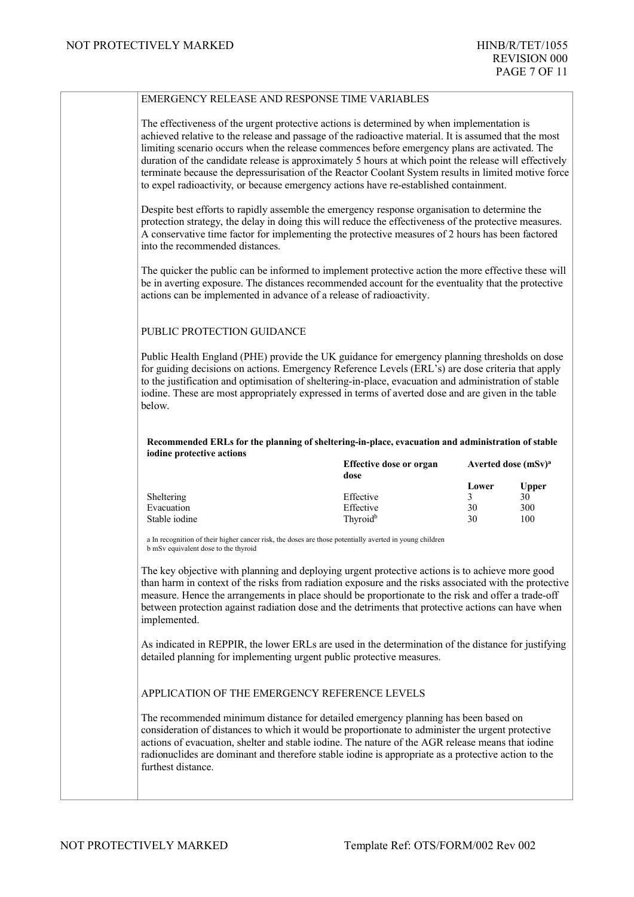| The effectiveness of the urgent protective actions is determined by when implementation is<br>achieved relative to the release and passage of the radioactive material. It is assumed that the most                                                                                                                                                                                                                                                                                                                                          |                                                                                                   |          |                                                 |
|----------------------------------------------------------------------------------------------------------------------------------------------------------------------------------------------------------------------------------------------------------------------------------------------------------------------------------------------------------------------------------------------------------------------------------------------------------------------------------------------------------------------------------------------|---------------------------------------------------------------------------------------------------|----------|-------------------------------------------------|
| limiting scenario occurs when the release commences before emergency plans are activated. The<br>duration of the candidate release is approximately 5 hours at which point the release will effectively<br>terminate because the depressurisation of the Reactor Coolant System results in limited motive force<br>to expel radioactivity, or because emergency actions have re-established containment.                                                                                                                                     |                                                                                                   |          |                                                 |
| Despite best efforts to rapidly assemble the emergency response organisation to determine the<br>protection strategy, the delay in doing this will reduce the effectiveness of the protective measures.<br>A conservative time factor for implementing the protective measures of 2 hours has been factored<br>into the recommended distances.                                                                                                                                                                                               |                                                                                                   |          |                                                 |
| The quicker the public can be informed to implement protective action the more effective these will<br>be in averting exposure. The distances recommended account for the eventuality that the protective<br>actions can be implemented in advance of a release of radioactivity.                                                                                                                                                                                                                                                            |                                                                                                   |          |                                                 |
| PUBLIC PROTECTION GUIDANCE                                                                                                                                                                                                                                                                                                                                                                                                                                                                                                                   |                                                                                                   |          |                                                 |
| Public Health England (PHE) provide the UK guidance for emergency planning thresholds on dose<br>for guiding decisions on actions. Emergency Reference Levels (ERL's) are dose criteria that apply<br>to the justification and optimisation of sheltering-in-place, evacuation and administration of stable<br>iodine. These are most appropriately expressed in terms of averted dose and are given in the table<br>below.                                                                                                                  |                                                                                                   |          |                                                 |
| iodine protective actions                                                                                                                                                                                                                                                                                                                                                                                                                                                                                                                    | Recommended ERLs for the planning of sheltering-in-place, evacuation and administration of stable |          |                                                 |
|                                                                                                                                                                                                                                                                                                                                                                                                                                                                                                                                              | <b>Effective dose or organ</b><br>dose                                                            | Lower    | Averted dose (mSv) <sup>a</sup><br><b>Upper</b> |
| Sheltering<br>Evacuation                                                                                                                                                                                                                                                                                                                                                                                                                                                                                                                     | Effective<br>Effective                                                                            | 3        | 30                                              |
| Stable iodine                                                                                                                                                                                                                                                                                                                                                                                                                                                                                                                                | Thyroid <sup>b</sup>                                                                              | 30<br>30 | 300<br>100                                      |
| a In recognition of their higher cancer risk, the doses are those potentially averted in young children<br>b mSv equivalent dose to the thyroid                                                                                                                                                                                                                                                                                                                                                                                              |                                                                                                   |          |                                                 |
| The key objective with planning and deploying urgent protective actions is to achieve more good<br>than harm in context of the risks from radiation exposure and the risks associated with the protective<br>measure. Hence the arrangements in place should be proportionate to the risk and offer a trade-off<br>between protection against radiation dose and the detriments that protective actions can have when<br>implemented.<br>As indicated in REPPIR, the lower ERLs are used in the determination of the distance for justifying |                                                                                                   |          |                                                 |
| detailed planning for implementing urgent public protective measures.                                                                                                                                                                                                                                                                                                                                                                                                                                                                        |                                                                                                   |          |                                                 |
| APPLICATION OF THE EMERGENCY REFERENCE LEVELS                                                                                                                                                                                                                                                                                                                                                                                                                                                                                                |                                                                                                   |          |                                                 |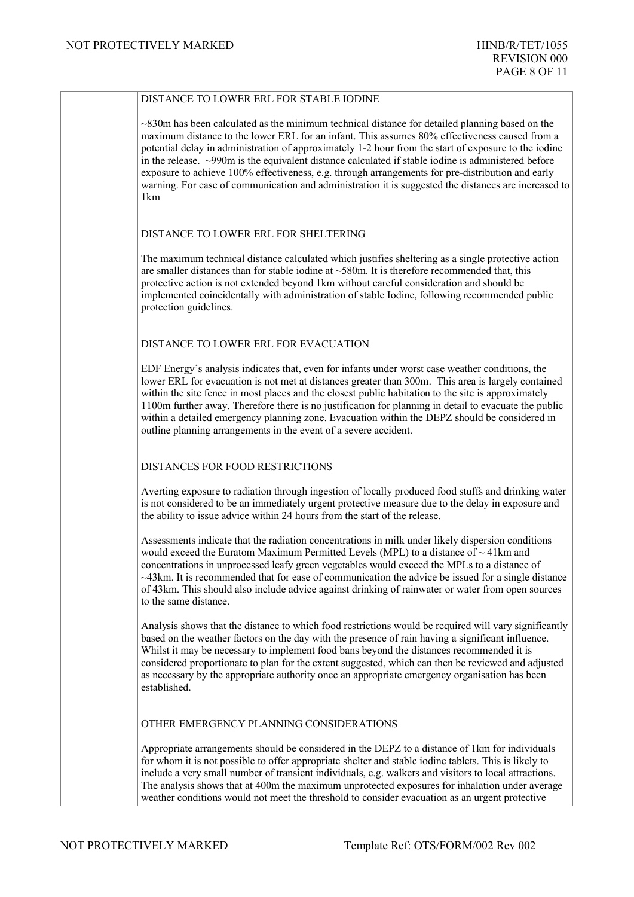| DISTANCE TO LOWER ERL FOR STABLE IODINE                                                                                                                                                                                                                                                                                                                                                                                                                                                                                                                                                                                                             |
|-----------------------------------------------------------------------------------------------------------------------------------------------------------------------------------------------------------------------------------------------------------------------------------------------------------------------------------------------------------------------------------------------------------------------------------------------------------------------------------------------------------------------------------------------------------------------------------------------------------------------------------------------------|
| $\sim$ 830m has been calculated as the minimum technical distance for detailed planning based on the<br>maximum distance to the lower ERL for an infant. This assumes 80% effectiveness caused from a<br>potential delay in administration of approximately 1-2 hour from the start of exposure to the iodine<br>in the release. ~990m is the equivalent distance calculated if stable iodine is administered before<br>exposure to achieve 100% effectiveness, e.g. through arrangements for pre-distribution and early<br>warning. For ease of communication and administration it is suggested the distances are increased to<br>1 <sub>km</sub> |
| DISTANCE TO LOWER ERL FOR SHELTERING                                                                                                                                                                                                                                                                                                                                                                                                                                                                                                                                                                                                                |
| The maximum technical distance calculated which justifies sheltering as a single protective action<br>are smaller distances than for stable iodine at $\sim$ 580m. It is therefore recommended that, this<br>protective action is not extended beyond 1km without careful consideration and should be<br>implemented coincidentally with administration of stable Iodine, following recommended public<br>protection guidelines.                                                                                                                                                                                                                    |
| DISTANCE TO LOWER ERL FOR EVACUATION                                                                                                                                                                                                                                                                                                                                                                                                                                                                                                                                                                                                                |
| EDF Energy's analysis indicates that, even for infants under worst case weather conditions, the<br>lower ERL for evacuation is not met at distances greater than 300m. This area is largely contained<br>within the site fence in most places and the closest public habitation to the site is approximately<br>1100m further away. Therefore there is no justification for planning in detail to evacuate the public<br>within a detailed emergency planning zone. Evacuation within the DEPZ should be considered in<br>outline planning arrangements in the event of a severe accident.                                                          |
| DISTANCES FOR FOOD RESTRICTIONS                                                                                                                                                                                                                                                                                                                                                                                                                                                                                                                                                                                                                     |
| Averting exposure to radiation through ingestion of locally produced food stuffs and drinking water<br>is not considered to be an immediately urgent protective measure due to the delay in exposure and<br>the ability to issue advice within 24 hours from the start of the release.                                                                                                                                                                                                                                                                                                                                                              |
| Assessments indicate that the radiation concentrations in milk under likely dispersion conditions<br>would exceed the Euratom Maximum Permitted Levels (MPL) to a distance of $\sim$ 41km and<br>concentrations in unprocessed leafy green vegetables would exceed the MPLs to a distance of<br>$\sim$ 43km. It is recommended that for ease of communication the advice be issued for a single distance<br>of 43km. This should also include advice against drinking of rainwater or water from open sources<br>to the same distance.                                                                                                              |
| Analysis shows that the distance to which food restrictions would be required will vary significantly<br>based on the weather factors on the day with the presence of rain having a significant influence.<br>Whilst it may be necessary to implement food bans beyond the distances recommended it is<br>considered proportionate to plan for the extent suggested, which can then be reviewed and adjusted<br>as necessary by the appropriate authority once an appropriate emergency organisation has been<br>established.                                                                                                                       |
| OTHER EMERGENCY PLANNING CONSIDERATIONS                                                                                                                                                                                                                                                                                                                                                                                                                                                                                                                                                                                                             |
| Appropriate arrangements should be considered in the DEPZ to a distance of 1km for individuals<br>for whom it is not possible to offer appropriate shelter and stable iodine tablets. This is likely to<br>include a very small number of transient individuals, e.g. walkers and visitors to local attractions.<br>The analysis shows that at 400m the maximum unprotected exposures for inhalation under average<br>weather conditions would not meet the threshold to consider evacuation as an urgent protective                                                                                                                                |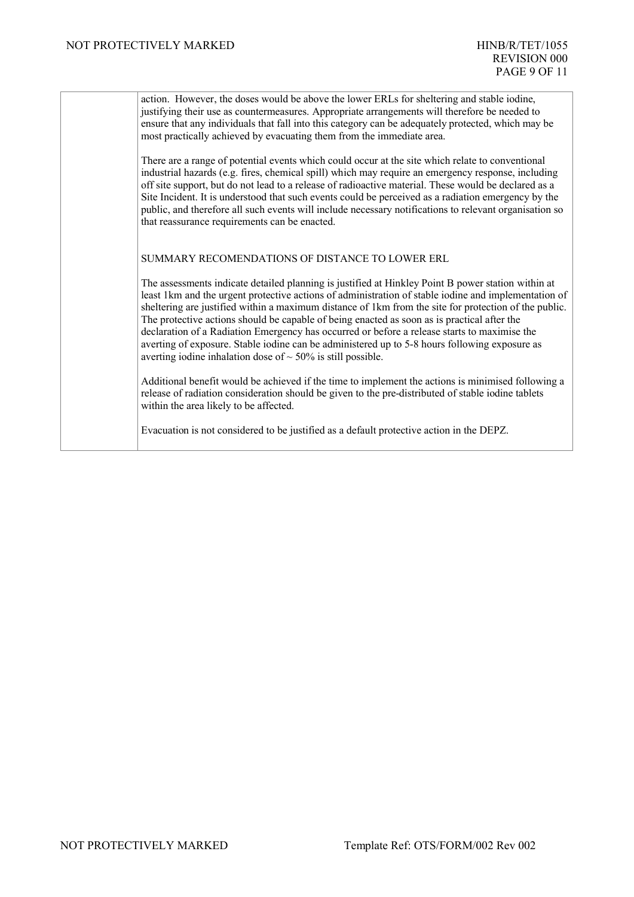action. However, the doses would be above the lower ERLs for sheltering and stable iodine, justifying their use as countermeasures. Appropriate arrangements will therefore be needed to ensure that any individuals that fall into this category can be adequately protected, which may be most practically achieved by evacuating them from the immediate area.

There are a range of potential events which could occur at the site which relate to conventional industrial hazards (e.g. fires, chemical spill) which may require an emergency response, including off site support, but do not lead to a release of radioactive material. These would be declared as a Site Incident. It is understood that such events could be perceived as a radiation emergency by the public, and therefore all such events will include necessary notifications to relevant organisation so that reassurance requirements can be enacted.

SUMMARY RECOMENDATIONS OF DISTANCE TO LOWER ERL

The assessments indicate detailed planning is justified at Hinkley Point B power station within at least 1km and the urgent protective actions of administration of stable iodine and implementation of sheltering are justified within a maximum distance of 1km from the site for protection of the public. The protective actions should be capable of being enacted as soon as is practical after the declaration of a Radiation Emergency has occurred or before a release starts to maximise the averting of exposure. Stable iodine can be administered up to 5-8 hours following exposure as averting iodine inhalation dose of  $\sim$  50% is still possible.

Additional benefit would be achieved if the time to implement the actions is minimised following a release of radiation consideration should be given to the pre-distributed of stable iodine tablets within the area likely to be affected.

Evacuation is not considered to be justified as a default protective action in the DEPZ.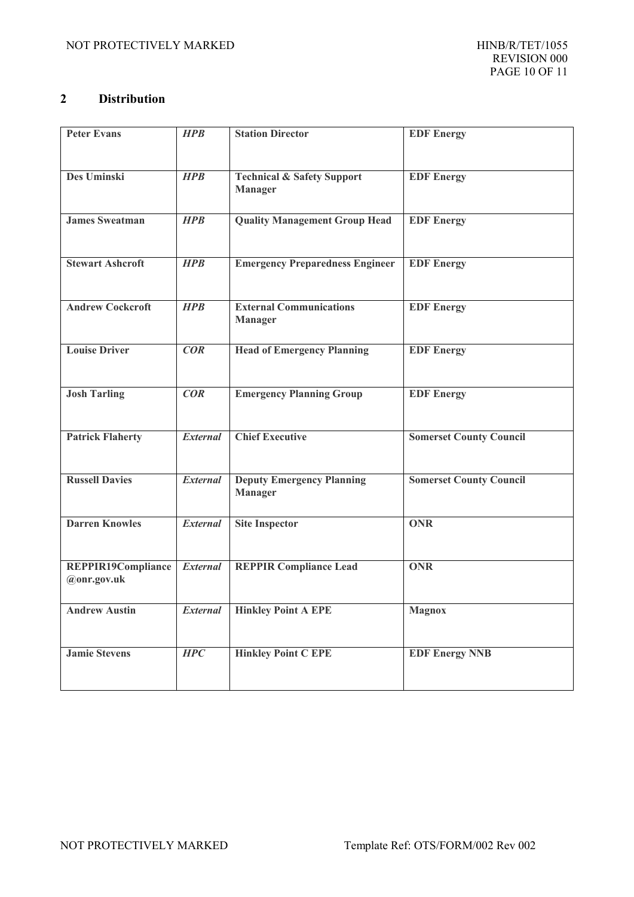#### <span id="page-9-0"></span>**2 Distribution**

| <b>Peter Evans</b>                | <b>HPB</b>      | <b>Station Director</b>                                 | <b>EDF</b> Energy              |
|-----------------------------------|-----------------|---------------------------------------------------------|--------------------------------|
| Des Uminski                       | <b>HPB</b>      | <b>Technical &amp; Safety Support</b><br><b>Manager</b> | <b>EDF</b> Energy              |
| <b>James Sweatman</b>             | <b>HPB</b>      | <b>Quality Management Group Head</b>                    | <b>EDF</b> Energy              |
| <b>Stewart Ashcroft</b>           | <b>HPB</b>      | <b>Emergency Preparedness Engineer</b>                  | <b>EDF</b> Energy              |
| <b>Andrew Cockcroft</b>           | <b>HPB</b>      | <b>External Communications</b><br><b>Manager</b>        | <b>EDF</b> Energy              |
| <b>Louise Driver</b>              | COR             | <b>Head of Emergency Planning</b>                       | <b>EDF</b> Energy              |
| <b>Josh Tarling</b>               | COR             | <b>Emergency Planning Group</b>                         | <b>EDF</b> Energy              |
| <b>Patrick Flaherty</b>           | <b>External</b> | <b>Chief Executive</b>                                  | <b>Somerset County Council</b> |
| <b>Russell Davies</b>             | <b>External</b> | <b>Deputy Emergency Planning</b><br><b>Manager</b>      | <b>Somerset County Council</b> |
| <b>Darren Knowles</b>             | <b>External</b> | <b>Site Inspector</b>                                   | <b>ONR</b>                     |
| REPPIR19Compliance<br>@onr.gov.uk | <b>External</b> | <b>REPPIR Compliance Lead</b>                           | <b>ONR</b>                     |
| <b>Andrew Austin</b>              | <b>External</b> | <b>Hinkley Point A EPE</b>                              | <b>Magnox</b>                  |
| <b>Jamie Stevens</b>              | HPC             | <b>Hinkley Point C EPE</b>                              | <b>EDF Energy NNB</b>          |